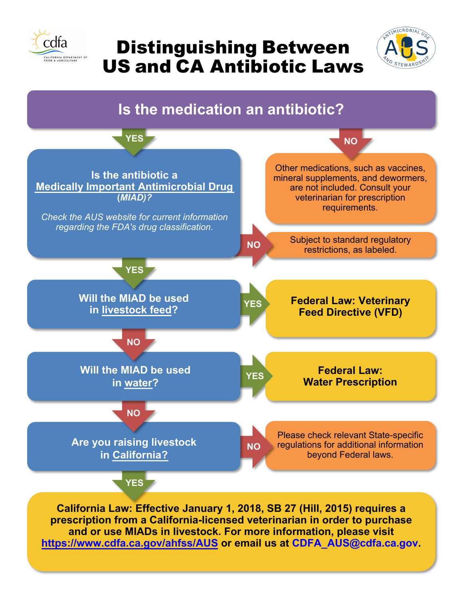

## Distinguishing Between US and CA Antibiotic Laws